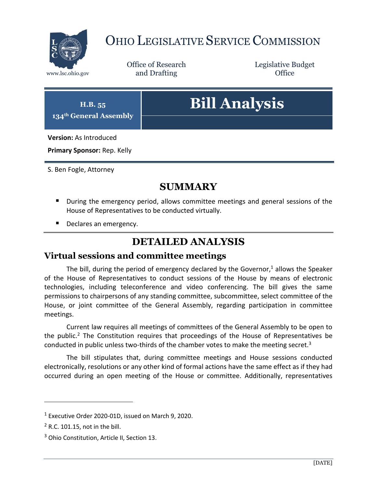

# OHIO LEGISLATIVE SERVICE COMMISSION

Office of Research www.lsc.ohio.gov **and Drafting Office** 

Legislative Budget

# **H.B. 55 134th General Assembly Bill Analysis Version:** As Introduced

**Primary Sponsor:** Rep. Kelly

S. Ben Fogle, Attorney

## **SUMMARY**

- **During the emergency period, allows committee meetings and general sessions of the** House of Representatives to be conducted virtually.
- Declares an emergency.

# **DETAILED ANALYSIS**

#### **Virtual sessions and committee meetings**

The bill, during the period of emergency declared by the Governor,<sup>1</sup> allows the Speaker of the House of Representatives to conduct sessions of the House by means of electronic technologies, including teleconference and video conferencing. The bill gives the same permissions to chairpersons of any standing committee, subcommittee, select committee of the House, or joint committee of the General Assembly, regarding participation in committee meetings.

Current law requires all meetings of committees of the General Assembly to be open to the public.<sup>2</sup> The Constitution requires that proceedings of the House of Representatives be conducted in public unless two-thirds of the chamber votes to make the meeting secret.<sup>3</sup>

The bill stipulates that, during committee meetings and House sessions conducted electronically, resolutions or any other kind of formal actions have the same effect as if they had occurred during an open meeting of the House or committee. Additionally, representatives

 $\overline{a}$ 

<sup>1</sup> Executive Order 2020-01D, issued on March 9, 2020.

 $2$  R.C. 101.15, not in the bill.

<sup>&</sup>lt;sup>3</sup> Ohio Constitution, Article II, Section 13.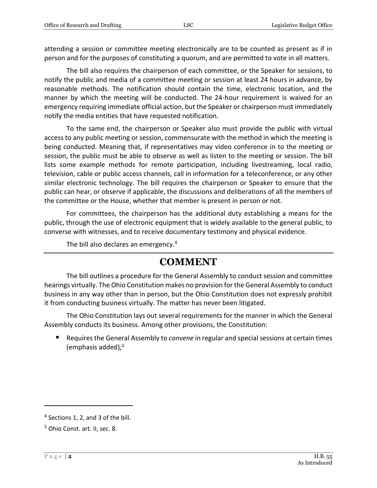attending a session or committee meeting electronically are to be counted as present as if in person and for the purposes of constituting a quorum, and are permitted to vote in all matters.

The bill also requires the chairperson of each committee, or the Speaker for sessions, to notify the public and media of a committee meeting or session at least 24 hours in advance, by reasonable methods. The notification should contain the time, electronic location, and the manner by which the meeting will be conducted. The 24-hour requirement is waived for an emergency requiring immediate official action, but the Speaker or chairperson must immediately notify the media entities that have requested notification.

To the same end, the chairperson or Speaker also must provide the public with virtual access to any public meeting or session, commensurate with the method in which the meeting is being conducted. Meaning that, if representatives may video conference in to the meeting or session, the public must be able to observe as well as listen to the meeting or session. The bill lists some example methods for remote participation, including livestreaming, local radio, television, cable or public access channels, call in information for a teleconference, or any other similar electronic technology. The bill requires the chairperson or Speaker to ensure that the public can hear, or observe if applicable, the discussions and deliberations of all the members of the committee or the House, whether that member is present in person or not.

For committees, the chairperson has the additional duty establishing a means for the public, through the use of electronic equipment that is widely available to the general public, to converse with witnesses, and to receive documentary testimony and physical evidence.

The bill also declares an emergency.<sup>4</sup>

#### **COMMENT**

The bill outlines a procedure for the General Assembly to conduct session and committee hearings virtually. The Ohio Constitution makes no provision for the General Assembly to conduct business in any way other than in person, but the Ohio Constitution does not expressly prohibit it from conducting business virtually. The matter has never been litigated.

The Ohio Constitution lays out several requirements for the manner in which the General Assembly conducts its business. Among other provisions, the Constitution:

 Requires the General Assembly to *convene* in regular and special sessions at certain times (emphasis added); $5$ 

 $\overline{a}$ 

<sup>&</sup>lt;sup>4</sup> Sections 1, 2, and 3 of the bill.

<sup>5</sup> Ohio Const. art. II, sec. 8.